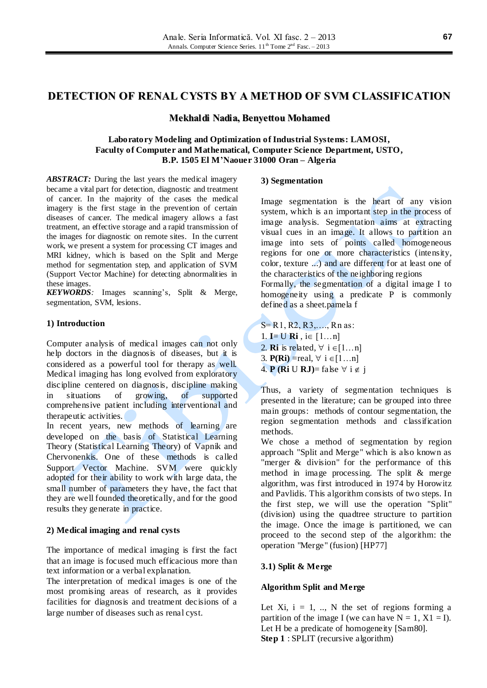## **Mekhaldi Nadia, Benyettou Mohamed**

## **Laboratory Modeling and Optimization of Industrial Systems: LAMOSI, Faculty of Computer and Mathematical, Computer Science Department, USTO, B.P. 1505 El M'Naouer 31000 Oran – Algeria**

*ABSTRACT:* During the last years the medical imagery became a vital part for detection, diagnostic and treatment of cancer. In the majority of the cases the medical imagery is the first stage in the prevention of certain diseases of cancer. The medical imagery allows a fast treatment, an effective storage and a rapid transmission of the images for diagnostic on remote sites. In the current work, we present a system for processing CT images and MRI kidney, which is based on the Split and Merge method for segmentation step, and application of SVM (Support Vector Machine) for detecting abnormalities in these images.

*KEYWORDS:* Images scanning's, Split & Merge, segmentation, SVM, lesions.

## **1) Introduction**

Computer analysis of medical images can not only help doctors in the diagnosis of diseases, but it is considered as a powerful tool for therapy as well. Medical imaging has long evolved from exploratory discipline centered on diagnosis, discipline making in situations of growing, of supported comprehensive patient including interventional and therapeutic activities.

In recent years, new methods of learning are developed on the basis of Statistical Learning Theory (Statistical Learning Theory) of Vapnik and Chervonenkis. One of these methods is called Support Vector Machine. SVM were quickly adopted for their ability to work with large data, the small number of parameters they have, the fact that they are well founded theoretically, and for the good results they generate in practice.

# **2) Medical imaging and renal cysts**

The importance of medical imaging is first the fact that an image is focused much efficacious more than text information or a verbal explanation.

The interpretation of medical images is one of the most promising areas of research, as it provides facilities for diagnosis and treatment decisions of a large number of diseases such as renal cyst*.*

# **3) Segmentation**

Image segmentation is the heart of any vision system, which is an important step in the process of image analysis. Segmentation aims at extracting visual cues in an image. It allows to partition an image into sets of points called homogeneous regions for one or more characteristics (intensity, color, texture ...) and are different for at least one of the characteristics of the neighboring regions

Formally, the segmentation of a digital image I to homogeneity using a predicate P is commonly defined as a sheet.pamela f

S= R1, R2, R3,…., Rn as: 1. **I**= **U Ri** , i $\in$   $[1...n]$ 2. **Ri** is related,  $\forall$  i  $\in$  [1...n] 3. **P(Ri)** = real,  $\forall$  i  $\in$  [1…n] 4. **P** (**Ri** U **RJ**)= false  $\forall$  i  $\notin$  j

Thus, a variety of segmentation techniques is presented in the literature; can be grouped into three main groups: methods of contour segmentation, the region segmentation methods and classification methods.

We chose a method of segmentation by region approach "Split and Merge" which is also known as "merger & division" for the performance of this method in image processing. The split & merge algorithm, was first introduced in 1974 by Horowitz and Pavlidis. This algorithm consists of two steps. In the first step, we will use the operation "Split" (division) using the quadtree structure to partition the image. Once the image is partitioned, we can proceed to the second step of the algorithm: the operation "Merge" (fusion) [HP77]

# **3.1) Split & Merge**

# **Algorithm Split and Merge**

Let Xi,  $i = 1, \ldots, N$  the set of regions forming a partition of the image I (we can have  $N = 1$ ,  $X1 = I$ ). Let H be a predicate of homogeneity [Sam80]. **Step 1** : SPLIT (recursive algorithm)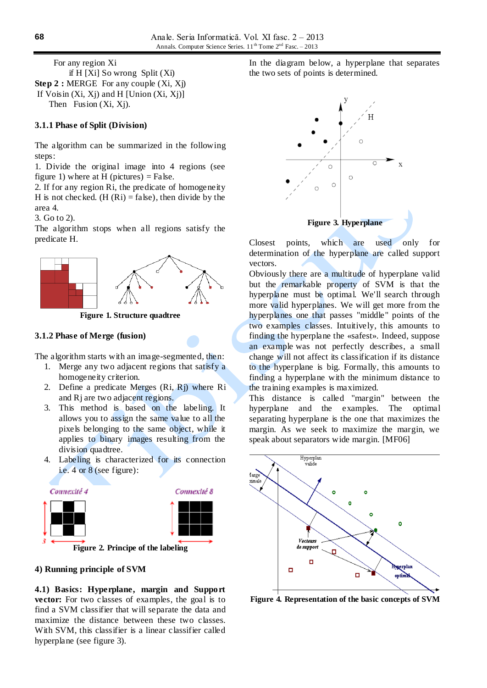For any region Xi if H [Xi] So wrong Split (Xi) **Step 2 : MERGE** For any couple  $(X_i, X_j)$ If Voisin  $(X_i, X_j)$  and H [Union  $(X_i, X_j)$ ] Then Fusion  $(X_i, X_j)$ .

### **3.1.1 Phase of Split (Division)**

The algorithm can be summarized in the following steps:

1. Divide the original image into 4 regions (see figure 1) where at H (pictures) = False.

2. If for any region Ri, the predicate of homogeneity H is not checked. (H  $(Ri) = false$ ), then divide by the area 4.

3. Go to 2).

The algorithm stops when all regions satisfy the predicate H.



**Figure 1. Structure quadtree**

### **3.1.2 Phase of Merge (fusion)**

The algorithm starts with an image-segmented, then:

- 1. Merge any two adjacent regions that satisfy a homogeneity criterion.
- 2. Define a predicate Merges (Ri, Rj) where Ri and Rj are two adjacent regions.
- 3. This method is based on the labeling. It allows you to assign the same value to all the pixels belonging to the same object, while it applies to binary images resulting from the division quadtree.
- 4. Labeling is characterized for its connection i.e. 4 or 8 (see figure):



**Figure 2. Principe of the labeling**

### **4) Running principle of SVM**

**4.1) Basics: Hyperplane, margin and Support vector:** For two classes of examples, the goal is to find a SVM classifier that will separate the data and maximize the distance between these two classes. With SVM, this classifier is a linear classifier called hyperplane (see figure 3).

In the diagram below, a hyperplane that separates the two sets of points is determined.



Closest points, which are used only for determination of the hyperplane are called support vectors.

Obviously there are a multitude of hyperplane valid but the remarkable property of SVM is that the hyperplane must be optimal. We'll search through more valid hyperplanes. We will get more from the hyperplanes one that passes "middle" points of the two examples classes. Intuitively, this amounts to finding the hyperplane the «safest». Indeed, suppose an example was not perfectly describes, a small change will not affect its classification if its distance to the hyperplane is big. Formally, this amounts to finding a hyperplane with the minimum distance to the training examples is maximized.

This distance is called "margin" between the hyperplane and the examples. The optimal separating hyperplane is the one that maximizes the margin. As we seek to maximize the margin, we speak about separators wide margin*.* [MF06]



**Figure 4. Representation of the basic concepts of SVM**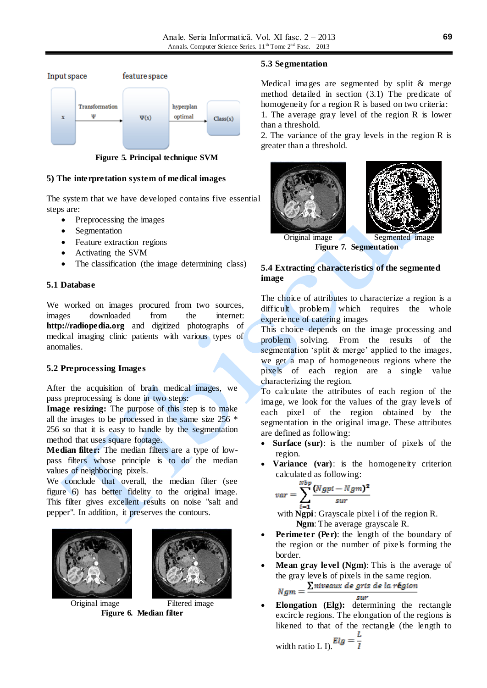

**Figure 5. Principal technique SVM**

## **5) The interpretation system of medical images**

The system that we have developed contains five essential steps are:

- Preprocessing the images
- Segmentation
- Feature extraction regions
- Activating the SVM
- The classification (the image determining class)

## **5.1 Database**

We worked on images procured from two sources, images downloaded from the internet: **http://radiopedia.org** and digitized photographs of medical imaging clinic patients with various types of anomalies.

### **5.2 Preprocessing Images**

After the acquisition of brain medical images, we pass preprocessing is done in two steps:

**Image resizing:** The purpose of this step is to make all the images to be processed in the same size 256 \* 256 so that it is easy to handle by the segmentation method that uses square footage.

**Median filter:** The median filters are a type of lowpass filters whose principle is to do the median values of neighboring pixels.

We conclude that overall, the median filter (see figure 6) has better fidelity to the original image. This filter gives excellent results on noise "salt and pepper". In addition, it preserves the contours.



Original image Filtered image **Figure 6. Median filter**

### **5.3 Segmentation**

Medical images are segmented by split & merge method detailed in section (3.1) The predicate of homogeneity for a region R is based on two criteria:

1. The average gray level of the region R is lower than a threshold.

2. The variance of the gray levels in the region R is greater than a threshold.



**Figure 7. Segmentation**

## **5.4 Extracting characteristics of the segmented image**

The choice of attributes to characterize a region is a difficult problem which requires the whole experience of catering images

This choice depends on the image processing and problem solving. From the results of the segmentation 'split & merge' applied to the images, we get a map of homogeneous regions where the pixels of each region are a single value characterizing the region.

To calculate the attributes of each region of the image, we look for the values of the gray levels of each pixel of the region obtained by the segmentation in the original image. These attributes are defined as following:

- **Surface (sur)**: is the number of pixels of the region.
- **Variance (var)**: is the homogeneity criterion calculated as following:

$$
var = \sum_{i=1}^{Nbp} \frac{(Ngpi - Ngm)^2}{sur}
$$

with **Ngpi**: Grayscale pixel i of the region R.  **Ngm**: The average grayscale R.

- **Perimeter (Per)**: the length of the boundary of the region or the number of pixels forming the border.
- **Mean gray level (Ngm)**: This is the average of the gray levels of pixels in the same region.<br>**The same region**  $\sum$  *niveaux de aris de la région*

$$
Ngm = \frac{\text{Linear as gives a value of } }{sur}
$$

 **Elongation (Elg):** determining the rectangle excircle regions. The elongation of the regions is likened to that of the rectangle (the length to

width ratio L I).  $Elg =$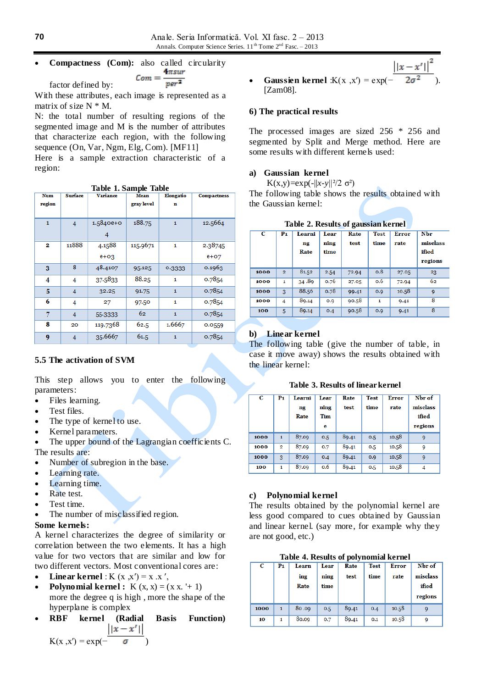Anale. Seria Informatică. Vol. XI fasc. 2 – 2013 Annals. Computer Science Series.  $11^{th}$  Tome  $2^{nd}$  Fasc. - 2013

# **Compactness (Com):** also called circularity<br> $\epsilon_{om} = \frac{4\pi s u r}{p e r^2}$

factor defined by:

With these attributes, each image is represented as a matrix of size  $N^* M$ .

N: the total number of resulting regions of the segmented image and M is the number of attributes that characterize each region, with the following sequence (On, Var, Ngm, Elg, Com). [MF11] Here is a sample extraction characteristic of a region:

|  |  | Table 1. Sample Table |  |
|--|--|-----------------------|--|
|--|--|-----------------------|--|

| <b>Num</b> | <b>Surface</b> | <b>Variance</b> | <b>Mean</b> | Elongatio | <b>Compactness</b> |
|------------|----------------|-----------------|-------------|-----------|--------------------|
| region     |                |                 | gray level  | n         |                    |
|            |                |                 |             |           |                    |
| 1          | $\overline{4}$ | $1.5840e+0$     | 188.75      | 1         | 12.5664            |
|            |                | 4               |             |           |                    |
| 2          | 11888          | 4.1588          | 115.9671    | 1         | 2.38745            |
|            |                | $e + o_3$       |             |           | $e+O7$             |
| 3          | 8              | 48.4107         | 95.125      | 0.3333    | 0.1963             |
| 4          | 4              | 37.5833         | 88.25       | 1         | 0.7854             |
| 5          | 4              | 32.25           | 91.75       | 1         | 0.7854             |
| 6          | 4              | 27              | 97.50       | 1         | 0.7854             |
| 7          | 4              | 55-3333         | 62          | 1         | 0.7854             |
| 8          | 20             | 119.7368        | 62.5        | 1.6667    | 0.0559             |
| 9          | 4              | 35.6667         | 61.5        | 1         | 0.7854             |

## **5.5 The activation of SVM**

This step allows you to enter the following parameters:

- Files learning.
- Test files.
- The type of kernel to use.
- Kernel parameters.

 The upper bound of the Lagrangian coefficients C. The results are:

- Number of subregion in the base.
- Learning rate.
- Learning time.
- Rate test.
- Test time.
- The number of misclassified region.

### **Some kernels:**

A kernel characterizes the degree of similarity or correlation between the two elements. It has a high value for two vectors that are similar and low for two different vectors. Most conventional cores are:

- **Linear kernel** : K  $(x, x') = x.x'$ ,
- **Polynomial kernel :**  $K(x, x) = (x x + 1)$ more the degree q is high , more the shape of the hyperplane is complex
- **RBF kernel (Radial Basis Function)**  $||x-x'||$  $K(x, x') = exp(-$
- $\big| |x x'| \big|^2$
- **Gaussien kernel** :K(x ,x') =  $\exp(-\frac{1}{2}$ [Zam08].

### **6) The practical results**

The processed images are sized 256 \* 256 and segmented by Split and Merge method. Here are some results with different kernels used:

### **a) Gaussian kernel**

K(x,y)=exp(-||x-y||<sup>2</sup>/2 σ<sup>2</sup>)

The following table shows the results obtained with the Gaussian kernel:

| С    | P <sub>1</sub> | Learni<br>ng<br>Rate | Lear<br>ning<br>time | Rate<br>test | <b>Test</b><br>time | <b>Error</b><br>rate | Nbr<br>misclass<br>ified<br>regions |
|------|----------------|----------------------|----------------------|--------------|---------------------|----------------------|-------------------------------------|
| 1000 | $\overline{2}$ | 81.52                | 2.54                 | 72.94        | 0.8                 | 27.05                | 23                                  |
| 1000 | 1              | 34.89                | 0.76                 | 27.05        | 0.6                 | 72.94                | 62                                  |
| 1000 | $\overline{3}$ | 88.56                | 0.78                 | 99.41        | O.Q                 | 10.58                | 9                                   |
| 1000 | $\overline{4}$ | 89.14                | 0.9                  | 90.58        | $\mathbf{1}$        | 9.41                 | 8                                   |
| 100  | 5              | 89.14                | 0.4                  | 90.58        | O.Q                 | 9.41                 | 8                                   |

# **Table 2. Results of gaussian kernel**

### **b) Linear kernel**

The following table (give the number of table, in case it move away) shows the results obtained with the linear kernel:

**Table 3. Results of linear kernel**

| С    | P <sub>1</sub> | Learni<br>ng<br>Rate | Lear<br>ning<br><b>Tim</b><br>е | Rate<br>test | <b>Test</b><br>time | Error<br>rate | Nbr of<br>misclass<br>ified<br>regions |
|------|----------------|----------------------|---------------------------------|--------------|---------------------|---------------|----------------------------------------|
| 1000 | $\mathbf{1}$   | 87.09                | 0.5                             | 89.41        | 0.5                 | 10.58         | 9                                      |
| 1000 | $\overline{2}$ | 87.09                | 0.7                             | 89.41        | 0.5                 | 10.58         | 9                                      |
| 1000 | 3              | 87.09                | 0.4                             | 89.41        | 0.9                 | 10.58         | 9                                      |
| 100  | 1              | 87.09                | 0.6                             | 89.41        | 0.5                 | 10.58         | 4                                      |

### **c) Polynomial kernel**

The results obtained by the polynomial kernel are less good compared to cues obtained by Gaussian and linear kernel. (say more, for example why they are not good, etc.)

#### **Table 4. Results of polynomial kernel**

| С    | P1 | Learn<br>ing<br>Rate | Lear<br>ning<br>time | Rate<br>test | <b>Test</b><br>time | <b>Error</b><br>rate | Nbr of<br>misclass<br>ified<br>regions |
|------|----|----------------------|----------------------|--------------|---------------------|----------------------|----------------------------------------|
| 1000 | 1  | 80.09                | 0.5                  | 89.41        | 0.4                 | 10.58                |                                        |
| 10   | 1  | 80.09                | 0.7                  | 89.41        | 0.1                 | 10.58                |                                        |